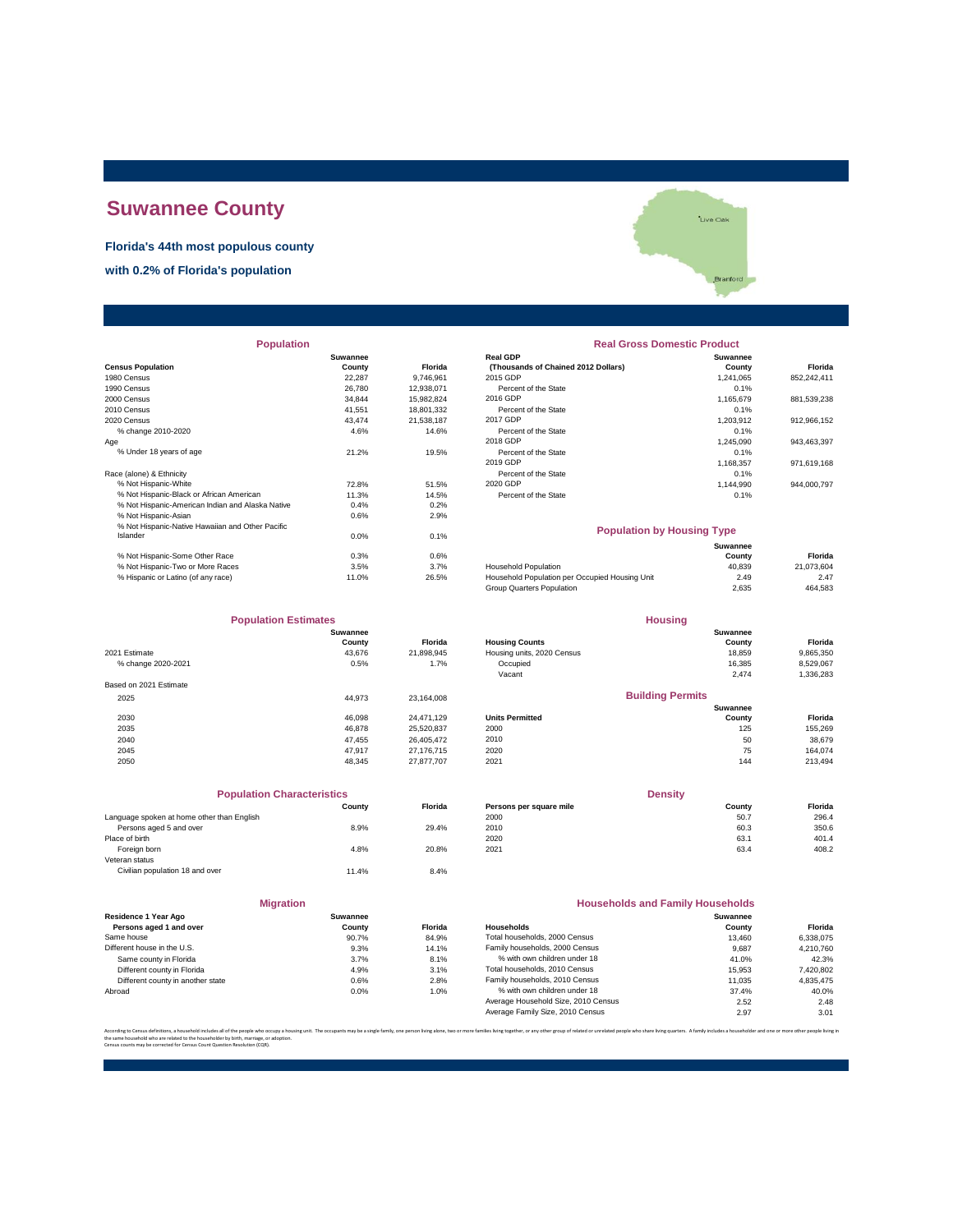# **Suwannee County**

#### **Florida's 44th most populous county**

**with 0.2% of Florida's population**



| <b>Population</b>                                |                 |                | <b>Real Gross Domestic Product</b>             |                 |             |  |
|--------------------------------------------------|-----------------|----------------|------------------------------------------------|-----------------|-------------|--|
|                                                  | <b>Suwannee</b> |                | <b>Real GDP</b>                                | <b>Suwannee</b> |             |  |
| <b>Census Population</b>                         | County          | <b>Florida</b> | (Thousands of Chained 2012 Dollars)            | County          | Florida     |  |
| 1980 Census                                      | 22,287          | 9,746,961      | 2015 GDP                                       | 1,241,065       | 852,242,411 |  |
| 1990 Census                                      | 26,780          | 12,938,071     | Percent of the State                           | 0.1%            |             |  |
| 2000 Census                                      | 34,844          | 15,982,824     | 2016 GDP                                       | 1,165,679       | 881,539,238 |  |
| 2010 Census                                      | 41,551          | 18,801,332     | Percent of the State                           | 0.1%            |             |  |
| 2020 Census                                      | 43.474          | 21,538,187     | 2017 GDP                                       | 1,203,912       | 912,966,152 |  |
| % change 2010-2020                               | 4.6%            | 14.6%          | Percent of the State                           | 0.1%            |             |  |
| Age                                              |                 |                | 2018 GDP                                       | 1,245,090       | 943,463,397 |  |
| % Under 18 years of age                          | 21.2%           | 19.5%          | Percent of the State                           | 0.1%            |             |  |
|                                                  |                 |                | 2019 GDP                                       | 1,168,357       | 971,619,168 |  |
| Race (alone) & Ethnicity                         |                 |                | Percent of the State                           | 0.1%            |             |  |
| % Not Hispanic-White                             | 72.8%           | 51.5%          | 2020 GDP                                       | 1,144,990       | 944,000,797 |  |
| % Not Hispanic-Black or African American         | 11.3%           | 14.5%          | Percent of the State                           | 0.1%            |             |  |
| % Not Hispanic-American Indian and Alaska Native | 0.4%            | 0.2%           |                                                |                 |             |  |
| % Not Hispanic-Asian                             | 0.6%            | 2.9%           |                                                |                 |             |  |
| % Not Hispanic-Native Hawaiian and Other Pacific |                 |                | <b>Population by Housing Type</b>              |                 |             |  |
| Islander                                         | 0.0%            | 0.1%           |                                                |                 |             |  |
|                                                  |                 |                |                                                | <b>Suwannee</b> |             |  |
| % Not Hispanic-Some Other Race                   | 0.3%            | 0.6%           |                                                | County          | Florida     |  |
| % Not Hispanic-Two or More Races                 | 3.5%            | 3.7%           | Household Population                           | 40,839          | 21,073,604  |  |
| % Hispanic or Latino (of any race)               | 11.0%           | 26.5%          | Household Population per Occupied Housing Unit | 2.49            | 2.47        |  |

| <b>Population Estimates</b> |          |                | <b>Housing</b>             |                         |           |
|-----------------------------|----------|----------------|----------------------------|-------------------------|-----------|
|                             | Suwannee |                |                            | Suwannee                |           |
|                             | County   | <b>Florida</b> | <b>Housing Counts</b>      | County                  | Florida   |
| 2021 Estimate               | 43.676   | 21,898,945     | Housing units, 2020 Census | 18,859                  | 9,865,350 |
| % change 2020-2021          | 0.5%     | 1.7%           | Occupied                   | 16,385                  | 8,529,067 |
|                             |          |                | Vacant                     | 2,474                   | 1,336,283 |
| Based on 2021 Estimate      |          |                |                            |                         |           |
| 2025                        | 44.973   | 23.164.008     |                            | <b>Building Permits</b> |           |
|                             |          |                |                            | <b>Suwannee</b>         |           |
| 2030                        | 46.098   | 24.471.129     | <b>Units Permitted</b>     | County                  | Florida   |
| 2035                        | 46.878   | 25,520,837     | 2000                       | 125                     | 155,269   |
| 2040                        | 47.455   | 26.405.472     | 2010                       | 50                      | 38,679    |
| 2045                        | 47.917   | 27.176.715     | 2020                       | 75                      | 164,074   |
| 2050                        | 48.345   | 27.877.707     | 2021                       | 144                     | 213,494   |
|                             |          |                |                            |                         |           |

| <b>Population Characteristics</b>          |        |         | <b>Density</b>          |        |         |
|--------------------------------------------|--------|---------|-------------------------|--------|---------|
|                                            | County | Florida | Persons per square mile | County | Florida |
| Language spoken at home other than English |        |         | 2000                    | 50.7   | 296.4   |
| Persons aged 5 and over                    | 8.9%   | 29.4%   | 2010                    | 60.3   | 350.6   |
| Place of birth                             |        |         | 2020                    | 63.1   | 401.4   |
| Foreign born                               | 4.8%   | 20.8%   | 2021                    | 63.4   | 408.2   |
| Veteran status                             |        |         |                         |        |         |
| Civilian population 18 and over            | 11.4%  | 8.4%    |                         |        |         |

**Migration**

|  |  | Branfo |
|--|--|--------|
|  |  |        |
|  |  |        |

## **Population Real Gross Domestic Product**<br> **Real GDP**

|                                          | Suwannee |                | <b>Real GDP</b>                     | Suwannee  |                |
|------------------------------------------|----------|----------------|-------------------------------------|-----------|----------------|
| sus Population                           | County   | <b>Florida</b> | (Thousands of Chained 2012 Dollars) | County    | <b>Florida</b> |
| 0 Census                                 | 22.287   | 9.746.961      | 2015 GDP                            | 1.241.065 | 852.242.411    |
| 0 Census                                 | 26,780   | 12.938.071     | Percent of the State                | 0.1%      |                |
| 0 Census                                 | 34.844   | 15.982.824     | 2016 GDP                            | 1.165.679 | 881.539.238    |
| 0 Census                                 | 41.551   | 18.801.332     | Percent of the State                | 0.1%      |                |
| 0 Census                                 | 43.474   | 21.538.187     | 2017 GDP                            | 1.203.912 | 912.966.152    |
| % change 2010-2020                       | 4.6%     | 14.6%          | Percent of the State                | 0.1%      |                |
|                                          |          |                | 2018 GDP                            | 1.245.090 | 943.463.397    |
| % Under 18 vears of age                  | 21.2%    | 19.5%          | Percent of the State                | 0.1%      |                |
|                                          |          |                | 2019 GDP                            | 1.168.357 | 971.619.168    |
| e (alone) & Ethnicity                    |          |                | Percent of the State                | 0.1%      |                |
| % Not Hispanic-White                     | 72.8%    | 51.5%          | 2020 GDP                            | 1.144.990 | 944.000.797    |
| % Not Hispanic-Black or African American | 11.3%    | 14.5%          | Percent of the State                | 0.1%      |                |
|                                          |          |                |                                     |           |                |

#### **Population by Housing Type**

|                                    |       |       |                                                | Suwannee |            |
|------------------------------------|-------|-------|------------------------------------------------|----------|------------|
| % Not Hispanic-Some Other Race     | 0.3%  | 0.6%  |                                                | County   | Florida    |
| % Not Hispanic-Two or More Races   | 3.5%  | 3.7%  | <b>Household Population</b>                    | 40.839   | 21.073.604 |
| % Hispanic or Latino (of any race) | 11.0% | 26.5% | Household Population per Occupied Housing Unit | 2.49     | 2.47       |
|                                    |       |       | Group Quarters Population                      | 2.635    | 464.583    |

| <b>Population Estimates</b> |          |                | <b>Housing</b>             |          |           |
|-----------------------------|----------|----------------|----------------------------|----------|-----------|
|                             | Suwannee |                |                            | Suwannee |           |
|                             | County   | <b>Florida</b> | <b>Housing Counts</b>      | County   | Florida   |
| 1 Estimate                  | 43.676   | 21.898.945     | Housing units, 2020 Census | 18.859   | 9.865.350 |
| % change 2020-2021          | 0.5%     | 1.7%           | Occupied                   | 16,385   | 8.529.067 |
|                             |          |                | Vacant                     | 2.474    | 1.336.283 |
|                             |          |                |                            |          |           |

#### **Building Permits**

|      |        |            |                        | Suwannee |         |
|------|--------|------------|------------------------|----------|---------|
| 2030 | 46.098 | 24.471.129 | <b>Units Permitted</b> | County   | Florida |
| 2035 | 46,878 | 25,520,837 | 2000                   | 125      | 155,269 |
| 2040 | 47.455 | 26.405.472 | 2010                   | 50       | 38.679  |
| 2045 | 47,917 | 27,176,715 | 2020                   | 75       | 164,074 |
| 2050 | 48.345 | 27.877.707 | 2021                   | 144      | 213,494 |
|      |        |            |                        |          |         |

| <b>Population Characteristics</b>       |        |                | <b>Density</b>          |        |         |
|-----------------------------------------|--------|----------------|-------------------------|--------|---------|
|                                         | Countv | <b>Florida</b> | Persons per square mile | County | Florida |
| quage spoken at home other than English |        |                | 2000                    | 50.7   | 296.4   |
| Persons aged 5 and over                 | 8.9%   | 29.4%          | 2010                    | 60.3   | 350.6   |
| e of birth                              |        |                | 2020                    | 63.1   | 401.4   |
| Foreign born                            | 4.8%   | 20.8%          | 2021                    | 63.4   | 408.2   |
|                                         |        |                |                         |        |         |

| <b>Migration</b>                  |          |         | <b>Households and Family Households</b> |                 |           |
|-----------------------------------|----------|---------|-----------------------------------------|-----------------|-----------|
| Residence 1 Year Ago              | Suwannee |         |                                         | <b>Suwannee</b> |           |
| Persons aged 1 and over           | County   | Florida | Households                              | County          | Florida   |
| Same house                        | 90.7%    | 84.9%   | Total households, 2000 Census           | 13,460          | 6.338.075 |
| Different house in the U.S.       | 9.3%     | 14.1%   | Family households, 2000 Census          | 9.687           | 4.210.760 |
| Same county in Florida            | 3.7%     | 8.1%    | % with own children under 18            | 41.0%           | 42.3%     |
| Different county in Florida       | 4.9%     | 3.1%    | Total households, 2010 Census           | 15.953          | 7,420,802 |
| Different county in another state | 0.6%     | 2.8%    | Family households, 2010 Census          | 11.035          | 4.835.475 |
| Abroad                            | 0.0%     | 1.0%    | % with own children under 18            | 37.4%           | 40.0%     |
|                                   |          |         | Average Household Size, 2010 Census     | 2.52            | 2.48      |
|                                   |          |         | Average Family Size, 2010 Census        | 2.97            | 3.01      |
|                                   |          |         |                                         |                 |           |

According to Census definitions, a household includes all of the people who occupy a housing unit. The occupants may be a single family, one person living back, two or more families living together, or any other group of r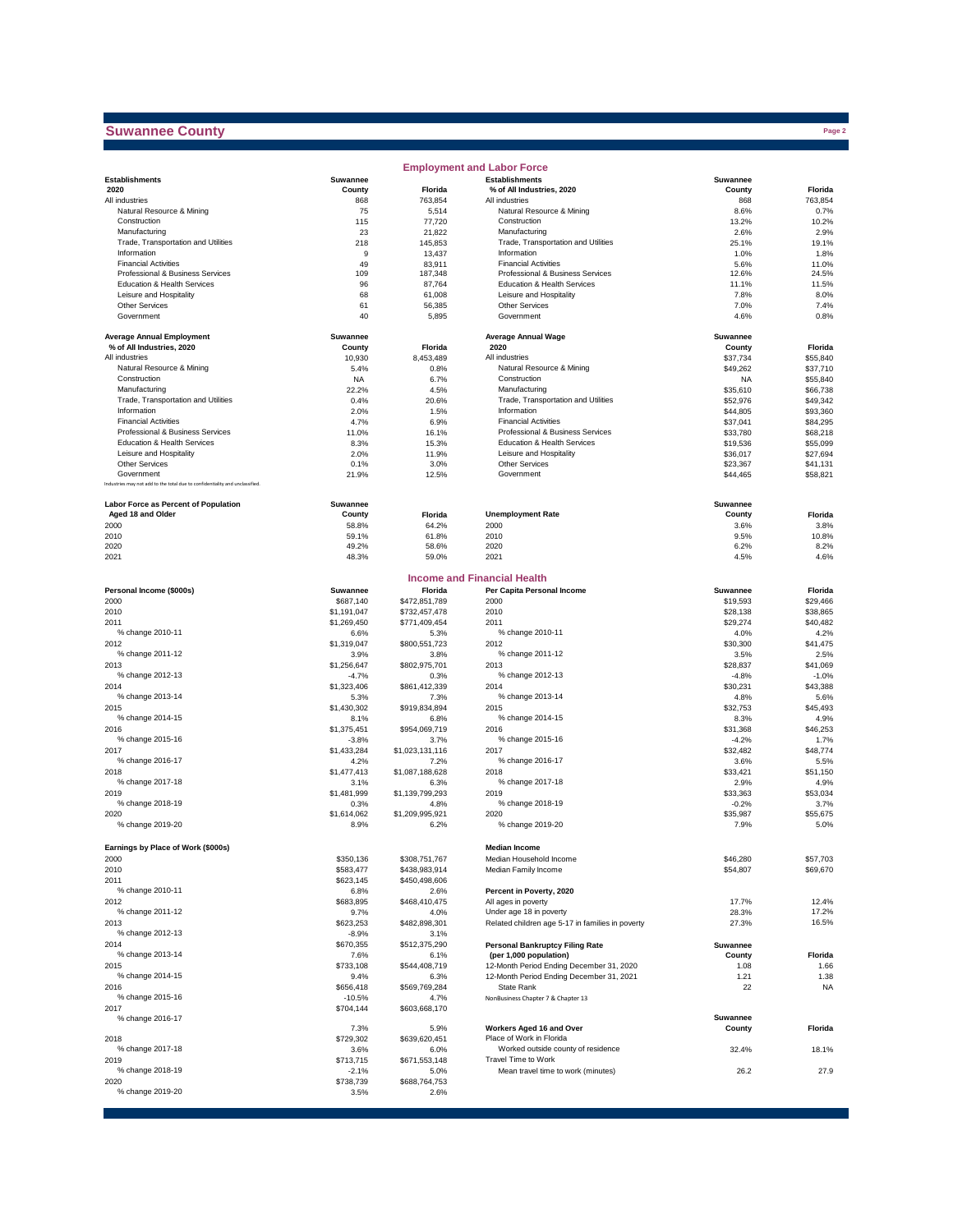### **Suwannee County**

|                                                                              |                       |                         | <b>Employment and Labor Force</b>                         |                      |                      |
|------------------------------------------------------------------------------|-----------------------|-------------------------|-----------------------------------------------------------|----------------------|----------------------|
| <b>Establishments</b>                                                        | Suwannee              |                         | <b>Establishments</b>                                     | Suwannee             |                      |
| 2020                                                                         | County                | Florida                 | % of All Industries, 2020                                 | County               | Florida              |
| All industries                                                               | 868                   | 763,854                 | All industries                                            | 868                  | 763,854              |
| Natural Resource & Mining                                                    | 75                    | 5,514                   | Natural Resource & Mining                                 | 8.6%                 | 0.7%                 |
| Construction<br>Manufacturing                                                | 115<br>23             | 77,720<br>21,822        | Construction<br>Manufacturing                             | 13.2%<br>2.6%        | 10.2%<br>2.9%        |
| Trade, Transportation and Utilities                                          | 218                   | 145,853                 | Trade, Transportation and Utilities                       | 25.1%                | 19.1%                |
| Information                                                                  | 9                     | 13,437                  | Information                                               | 1.0%                 | 1.8%                 |
| <b>Financial Activities</b>                                                  | 49                    | 83,911                  | <b>Financial Activities</b>                               | 5.6%                 | 11.0%                |
| Professional & Business Services                                             | 109                   | 187,348                 | Professional & Business Services                          | 12.6%                | 24.5%                |
| Education & Health Services                                                  | 96                    | 87,764                  | Education & Health Services                               | 11.1%                | 11.5%                |
| Leisure and Hospitality                                                      | 68                    | 61,008                  | Leisure and Hospitality                                   | 7.8%                 | 8.0%                 |
| Other Services                                                               | 61                    | 56,385                  | Other Services                                            | 7.0%                 | 7.4%                 |
| Government                                                                   | 40                    | 5,895                   | Government                                                | 4.6%                 | 0.8%                 |
| <b>Average Annual Employment</b>                                             | Suwannee              |                         | <b>Average Annual Wage</b>                                | Suwannee             |                      |
| % of All Industries, 2020                                                    | County                | Florida                 | 2020                                                      | County               | Florida              |
| All industries                                                               | 10,930                | 8,453,489               | All industries                                            | \$37,734             | \$55,840             |
| Natural Resource & Mining                                                    | 5.4%                  | 0.8%                    | Natural Resource & Mining                                 | \$49,262             | \$37,710             |
| Construction                                                                 | <b>NA</b>             | 6.7%                    | Construction                                              | <b>NA</b>            | \$55,840             |
| Manufacturing<br>Trade, Transportation and Utilities                         | 22.2%<br>0.4%         | 4.5%<br>20.6%           | Manufacturing<br>Trade, Transportation and Utilities      | \$35,610<br>\$52,976 | \$66,738<br>\$49,342 |
| Information                                                                  | 2.0%                  | 1.5%                    | Information                                               | \$44,805             | \$93,360             |
| <b>Financial Activities</b>                                                  | 4.7%                  | 6.9%                    | <b>Financial Activities</b>                               | \$37,041             | \$84,295             |
| Professional & Business Services                                             | 11.0%                 | 16.1%                   | Professional & Business Services                          | \$33,780             | \$68,218             |
| Education & Health Services                                                  | 8.3%                  | 15.3%                   | Education & Health Services                               | \$19,536             | \$55,099             |
| Leisure and Hospitality                                                      | 2.0%                  | 11.9%                   | Leisure and Hospitality                                   | \$36,017             | \$27,694             |
| <b>Other Services</b>                                                        | 0.1%                  | 3.0%                    | Other Services                                            | \$23,367             | \$41,131             |
| Government                                                                   | 21.9%                 | 12.5%                   | Government                                                | \$44,465             | \$58,821             |
| Industries may not add to the total due to confidentiality and unclassified. |                       |                         |                                                           |                      |                      |
| Labor Force as Percent of Population                                         | Suwannee              |                         |                                                           | Suwannee             |                      |
| Aged 18 and Older                                                            | County                | Florida                 | <b>Unemployment Rate</b>                                  | County               | Florida              |
| 2000                                                                         | 58.8%                 | 64.2%                   | 2000                                                      | 3.6%                 | 3.8%                 |
| 2010                                                                         | 59.1%                 | 61.8%                   | 2010                                                      | 9.5%                 | 10.8%                |
| 2020<br>2021                                                                 | 49.2%<br>48.3%        | 58.6%<br>59.0%          | 2020<br>2021                                              | 6.2%<br>4.5%         | 8.2%<br>4.6%         |
|                                                                              |                       |                         |                                                           |                      |                      |
|                                                                              |                       |                         | <b>Income and Financial Health</b>                        |                      |                      |
| Personal Income (\$000s)                                                     | Suwannee              | Florida                 | Per Capita Personal Income                                | <b>Suwannee</b>      | Florida              |
| 2000                                                                         | \$687,140             | \$472,851,789           | 2000                                                      | \$19,593             | \$29,466             |
| 2010                                                                         | \$1,191,047           | \$732,457,478           | 2010                                                      | \$28,138             | \$38,865             |
| 2011                                                                         | \$1,269,450           | \$771,409,454           | 2011                                                      | \$29,274             | \$40,482             |
| % change 2010-11                                                             | 6.6%                  | 5.3%                    | % change 2010-11                                          | 4.0%                 | 4.2%                 |
| 2012<br>% change 2011-12                                                     | \$1,319,047<br>3.9%   | \$800,551,723<br>3.8%   | 2012<br>% change 2011-12                                  | \$30,300<br>3.5%     | \$41,475<br>2.5%     |
| 2013                                                                         | \$1,256,647           | \$802,975,701           | 2013                                                      | \$28,837             | \$41,069             |
| % change 2012-13                                                             | $-4.7%$               | 0.3%                    | % change 2012-13                                          | $-4.8%$              | $-1.0%$              |
| 2014                                                                         | \$1,323,406           | \$861,412,339           | 2014                                                      | \$30,231             | \$43,388             |
| % change 2013-14                                                             | 5.3%                  | 7.3%                    | % change 2013-14                                          | 4.8%                 | 5.6%                 |
| 2015                                                                         | \$1,430,302           | \$919,834,894           | 2015                                                      | \$32,753             | \$45,493             |
| % change 2014-15                                                             | 8.1%                  | 6.8%                    | % change 2014-15                                          | 8.3%                 | 4.9%                 |
| 2016                                                                         | \$1,375,451           | \$954,069,719           | 2016                                                      | \$31,368             | \$46,253             |
| % change 2015-16                                                             | $-3.8%$               | 3.7%                    | % change 2015-16                                          | $-4.2%$              | 1.7%                 |
| 2017                                                                         | \$1,433,284           | \$1,023,131,116         | 2017                                                      | \$32,482             | \$48,774             |
| % change 2016-17                                                             | 4.2%                  | 7.2%                    | % change 2016-17                                          | 3.6%                 | 5.5%                 |
| 2018                                                                         | \$1,477,413           | \$1,087,188,628         | 2018                                                      | \$33,421             | \$51,150             |
| % change 2017-18<br>2019                                                     | 3.1%<br>\$1,481,999   | 6.3%<br>\$1,139,799,293 | % change 2017-18<br>2019                                  | 2.9%<br>\$33,363     | 4.9%<br>\$53,034     |
| % change 2018-19                                                             | 0.3%                  | 4.8%                    | % change 2018-19                                          | $-0.2%$              | 3.7%                 |
| 2020                                                                         | \$1,614,062           | \$1,209,995,921         | 2020                                                      | \$35,987             | \$55,675             |
| % change 2019-20                                                             | 8.9%                  | 6.2%                    | % change 2019-20                                          | 7.9%                 | 5.0%                 |
|                                                                              |                       |                         |                                                           |                      |                      |
| Earnings by Place of Work (\$000s)<br>2000                                   | \$350,136             | \$308,751,767           | <b>Median Income</b><br>Median Household Income           |                      |                      |
| 2010                                                                         | \$583,477             | \$438,983,914           | Median Family Income                                      | \$46,280<br>\$54,807 | \$57,703<br>\$69,670 |
| 2011                                                                         | \$623,145             | \$450,498,606           |                                                           |                      |                      |
| % change 2010-11                                                             | 6.8%                  | 2.6%                    | Percent in Poverty, 2020                                  |                      |                      |
| 2012                                                                         | \$683,895             | \$468,410,475           | All ages in poverty                                       | 17.7%                | 12.4%                |
| % change 2011-12                                                             | 9.7%                  | 4.0%                    | Under age 18 in poverty                                   | 28.3%                | 17.2%                |
| 2013                                                                         | \$623,253             | \$482,898,301           | Related children age 5-17 in families in poverty          | 27.3%                | 16.5%                |
| % change 2012-13                                                             | $-8.9%$               | 3.1%                    |                                                           |                      |                      |
| 2014                                                                         | \$670,355             | \$512,375,290           | <b>Personal Bankruptcy Filing Rate</b>                    | Suwannee             |                      |
| % change 2013-14                                                             | 7.6%                  | 6.1%                    | (per 1,000 population)                                    | County               | Florida              |
| 2015                                                                         | \$733,108             | \$544,408,719           | 12-Month Period Ending December 31, 2020                  | 1.08                 | 1.66                 |
| % change 2014-15                                                             | 9.4%                  | 6.3%                    | 12-Month Period Ending December 31, 2021                  | 1.21                 | 1.38                 |
| 2016<br>% change 2015-16                                                     | \$656,418             | \$569,769,284           | State Rank<br>NonBusiness Chapter 7 & Chapter 13          | 22                   | <b>NA</b>            |
| 2017                                                                         | $-10.5%$<br>\$704,144 | 4.7%<br>\$603,668,170   |                                                           |                      |                      |
| % change 2016-17                                                             |                       |                         |                                                           | Suwannee             |                      |
|                                                                              | 7.3%                  | 5.9%                    | Workers Aged 16 and Over                                  | County               | Florida              |
| 2018                                                                         | \$729,302             | \$639,620,451           | Place of Work in Florida                                  |                      |                      |
| % change 2017-18                                                             | 3.6%                  | 6.0%                    | Worked outside county of residence<br>Travel Time to Work | 32.4%                | 18.1%                |
| 2019<br>% change 2018-19                                                     | \$713,715             | \$671,553,148           |                                                           |                      | 27.9                 |
| 2020                                                                         | -2.1%<br>\$738,739    | 5.0%<br>\$688,764,753   | Mean travel time to work (minutes)                        | 26.2                 |                      |
| % change 2019-20                                                             | 3.5%                  | 2.6%                    |                                                           |                      |                      |